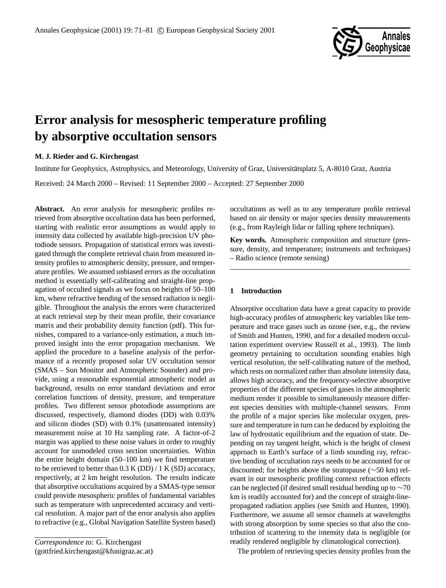

# **Error analysis for mesospheric temperature profiling by absorptive occultation sensors**

# **M. J. Rieder and G. Kirchengast**

Institute for Geophysics, Astrophysics, and Meteorology, University of Graz, Universitatsplatz 5, A-8010 Graz, Austria ¨ Received: 24 March 2000 – Revised: 11 September 2000 – Accepted: 27 September 2000

**Abstract.** An error analysis for mesospheric profiles retrieved from absorptive occultation data has been performed, starting with realistic error assumptions as would apply to intensity data collected by available high-precision UV photodiode sensors. Propagation of statistical errors was investigated through the complete retrieval chain from measured intensity profiles to atmospheric density, pressure, and temperature profiles. We assumed unbiased errors as the occultation method is essentially self-calibrating and straight-line propagation of occulted signals as we focus on heights of 50–100 km, where refractive bending of the sensed radiation is negligible. Throughout the analysis the errors were characterized at each retrieval step by their mean profile, their covariance matrix and their probability density function (pdf). This furnishes, compared to a variance-only estimation, a much improved insight into the error propagation mechanism. We applied the procedure to a baseline analysis of the performance of a recently proposed solar UV occultation sensor (SMAS – Sun Monitor and Atmospheric Sounder) and provide, using a reasonable exponential atmospheric model as background, results on error standard deviations and error correlation functions of density, pressure, and temperature profiles. Two different sensor photodiode assumptions are discussed, respectively, diamond diodes (DD) with 0.03% and silicon diodes (SD) with 0.1% (unattenuated intensity) measurement noise at 10 Hz sampling rate. A factor-of-2 margin was applied to these noise values in order to roughly account for unmodeled cross section uncertainties. Within the entire height domain (50–100 km) we find temperature to be retrieved to better than  $0.3$  K (DD)  $/ 1$  K (SD) accuracy, respectively, at 2 km height resolution. The results indicate that absorptive occultations acquired by a SMAS-type sensor could provide mesospheric profiles of fundamental variables such as temperature with unprecedented accuracy and vertical resolution. A major part of the error analysis also applies to refractive (e.g., Global Navigation Satellite System based)

occultations as well as to any temperature profile retrieval based on air density or major species density measurements (e.g., from Rayleigh lidar or falling sphere techniques).

**Key words.** Atmospheric composition and structure (pressure, density, and temperature; instruments and techniques) – Radio science (remote sensing)

# **1 Introduction**

Absorptive occultation data have a great capacity to provide high-accuracy profiles of atmospheric key variables like temperature and trace gases such as ozone (see, e.g., the review of Smith and Hunten, 1990, and for a detailed modern occultation experiment overview Russell et al., 1993). The limb geometry pertaining to occultation sounding enables high vertical resolution, the self-calibrating nature of the method, which rests on normalized rather than absolute intensity data, allows high accuracy, and the frequency-selective absorptive properties of the different species of gases in the atmospheric medium render it possible to simultaneously measure different species densities with multiple-channel sensors. From the profile of a major species like molecular oxygen, pressure and temperature in turn can be deduced by exploiting the law of hydrostatic equilibrium and the equation of state. Depending on ray tangent height, which is the height of closest approach to Earth's surface of a limb sounding ray, refractive bending of occultation rays needs to be accounted for or discounted; for heights above the stratopause (∼50 km) relevant in our mesospheric profiling context refraction effects can be neglected (if desired small residual bending up to ∼70 km is readily accounted for) and the concept of straight-linepropagated radiation applies (see Smith and Hunten, 1990). Furthermore, we assume all sensor channels at wavelengths with strong absorption by some species so that also the contribution of scattering to the intensity data is negligible (or readily rendered negligible by climatological correction).

The problem of retrieving species density profiles from the

*Correspondence to:* G. Kirchengast (gottfried.kirchengast@kfunigraz.ac.at)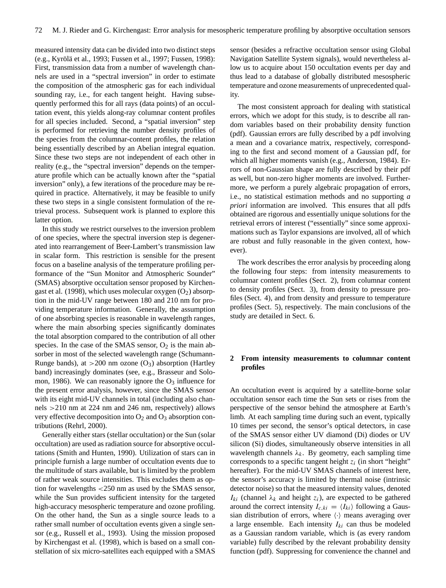measured intensity data can be divided into two distinct steps (e.g., Kyrölä et al., 1993; Fussen et al., 1997; Fussen, 1998): First, transmission data from a number of wavelength channels are used in a "spectral inversion" in order to estimate the composition of the atmospheric gas for each individual sounding ray, i.e., for each tangent height. Having subsequently performed this for all rays (data points) of an occultation event, this yields along-ray columnar content profiles for all species included. Second, a "spatial inversion" step is performed for retrieving the number density profiles of the species from the columnar-content profiles, the relation being essentially described by an Abelian integral equation. Since these two steps are not independent of each other in reality (e.g., the "spectral inversion" depends on the temperature profile which can be actually known after the "spatial inversion" only), a few iterations of the procedure may be required in practice. Alternatively, it may be feasible to unify these two steps in a single consistent formulation of the retrieval process. Subsequent work is planned to explore this latter option.

In this study we restrict ourselves to the inversion problem of one species, where the spectral inversion step is degenerated into rearrangement of Beer-Lambert's transmission law in scalar form. This restriction is sensible for the present focus on a baseline analysis of the temperature profiling performance of the "Sun Monitor and Atmospheric Sounder" (SMAS) absorptive occultation sensor proposed by Kirchengast et al. (1998), which uses molecular oxygen  $(O_2)$  absorption in the mid-UV range between 180 and 210 nm for providing temperature information. Generally, the assumption of one absorbing species is reasonable in wavelength ranges, where the main absorbing species significantly dominates the total absorption compared to the contribution of all other species. In the case of the SMAS sensor,  $O_2$  is the main absorber in most of the selected wavelength range (Schumann-Runge bands), at  $>200$  nm ozone (O<sub>3</sub>) absorption (Hartley band) increasingly dominates (see, e.g., Brasseur and Solomon, 1986). We can reasonably ignore the  $O_3$  influence for the present error analysis, however, since the SMAS sensor with its eight mid-UV channels in total (including also channels >210 nm at 224 nm and 246 nm, respectively) allows very effective decomposition into  $O_2$  and  $O_3$  absorption contributions (Rehrl, 2000).

Generally either stars (stellar occultation) or the Sun (solar occultation) are used as radiation source for absorptive occultations (Smith and Hunten, 1990). Utilization of stars can in principle furnish a large number of occultation events due to the multitude of stars available, but is limited by the problem of rather weak source intensities. This excludes them as option for wavelengths <250 nm as used by the SMAS sensor, while the Sun provides sufficient intensity for the targeted high-accuracy mesospheric temperature and ozone profiling. On the other hand, the Sun as a single source leads to a rather small number of occultation events given a single sensor (e.g., Russell et al., 1993). Using the mission proposed by Kirchengast et al. (1998), which is based on a small constellation of six micro-satellites each equipped with a SMAS sensor (besides a refractive occultation sensor using Global Navigation Satellite System signals), would nevertheless allow us to acquire about 150 occultation events per day and thus lead to a database of globally distributed mesospheric temperature and ozone measurements of unprecedented quality.

The most consistent approach for dealing with statistical errors, which we adopt for this study, is to describe all random variables based on their probability density function (pdf). Gaussian errors are fully described by a pdf involving a mean and a covariance matrix, respectively, corresponding to the first and second moment of a Gaussian pdf, for which all higher moments vanish (e.g., Anderson, 1984). Errors of non-Gaussian shape are fully described by their pdf as well, but non-zero higher moments are involved. Furthermore, we perform a purely algebraic propagation of errors, i.e., no statistical estimation methods and no supporting *a priori* information are involved. This ensures that all pdfs obtained are rigorous and essentially unique solutions for the retrieval errors of interest ("essentially" since some approximations such as Taylor expansions are involved, all of which are robust and fully reasonable in the given context, however).

The work describes the error analysis by proceeding along the following four steps: from intensity measurements to columnar content profiles (Sect. 2), from columnar content to density profiles (Sect. 3), from density to pressure profiles (Sect. 4), and from density and pressure to temperature profiles (Sect. 5), respectively. The main conclusions of the study are detailed in Sect. 6.

# **2 From intensity measurements to columnar content profiles**

An occultation event is acquired by a satellite-borne solar occultation sensor each time the Sun sets or rises from the perspective of the sensor behind the atmosphere at Earth's limb. At each sampling time during such an event, typically 10 times per second, the sensor's optical detectors, in case of the SMAS sensor either UV diamond (Di) diodes or UV silicon (Si) diodes, simultaneously observe intensities in all wavelength channels  $\lambda_k$ . By geometry, each sampling time corresponds to a specific tangent height  $z_i$  (in short "height" hereafter). For the mid-UV SMAS channels of interest here, the sensor's accuracy is limited by thermal noise (intrinsic detector noise) so that the measured intensity values, denoted  $I_{ki}$  (channel  $\lambda_k$  and height  $z_i$ ), are expected to be gathered around the correct intensity  $I_{c,ki} = \langle I_{ki} \rangle$  following a Gaussian distribution of errors, where  $\langle \cdot \rangle$  means averaging over a large ensemble. Each intensity  $I_{ki}$  can thus be modeled as a Gaussian random variable, which is (as every random variable) fully described by the relevant probability density function (pdf). Suppressing for convenience the channel and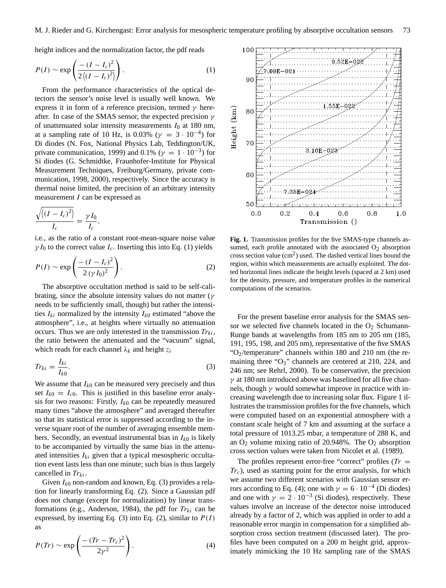height indices and the normalization factor, the pdf reads

$$
P(I) \sim \exp\left(\frac{-\left(I - I_c\right)^2}{2\left\langle\left(I - I_c\right)^2\right\rangle}\right). \tag{1}
$$

From the performance characteristics of the optical detectors the sensor's noise level is usually well known. We express it in form of a reference precision, termed  $\gamma$  hereafter. In case of the SMAS sensor, the expected precision  $\gamma$ of unattenuated solar intensity measurements  $I_0$  at 180 nm, at a sampling rate of 10 Hz, is 0.03% ( $\gamma = 3 \cdot 10^{-4}$ ) for Di diodes (N. Fox, National Physics Lab, Teddington/UK, private communication, 1999) and 0.1% ( $\gamma = 1 \cdot 10^{-3}$ ) for Si diodes (G. Schmidtke, Fraunhofer-Institute for Physical Measurement Techniques, Freiburg/Germany, private communication, 1998, 2000), respectively. Since the accuracy is thermal noise limited, the precision of an arbitrary intensity measurement I can be expressed as

$$
\frac{\sqrt{\langle (I - I_c)^2 \rangle}}{I_c} = \frac{\gamma I_0}{I_c},
$$

i.e., as the ratio of a constant root-mean-square noise value  $\gamma I_0$  to the correct value  $I_c$ . Inserting this into Eq. (1) yields

$$
P(I) \sim \exp\left(\frac{-(I - I_c)^2}{2(\gamma I_0)^2}\right).
$$
 (2)

The absorptive occultation method is said to be self-calibrating, since the absolute intensity values do not matter ( $\gamma$ needs to be sufficiently small, though) but rather the intensities  $I_{ki}$  normalized by the intensity  $I_{k0}$  estimated "above the atmosphere", i.e., at heights where virtually no attenuation occurs. Thus we are only interested in the transmission  $Tr_{ki}$ , the ratio between the attenuated and the "vacuum" signal, which reads for each channel  $\lambda_k$  and height  $z_i$ 

$$
Tr_{ki} = \frac{I_{ki}}{I_{k0}}.\t\t(3)
$$

We assume that  $I_{k0}$  can be measured very precisely and thus set  $I_{k0} = I_{c0}$ . This is justified in this baseline error analysis for two reasons: Firstly,  $I_{k0}$  can be repeatedly measured many times "above the atmosphere" and averaged thereafter so that its statistical error is suppressed according to the inverse square root of the number of averaging ensemble members. Secondly, an eventual instrumental bias in  $I_{k0}$  is likely to be accompanied by virtually the same bias in the attenuated intensities  $I_{ki}$  given that a typical mesospheric occultation event lasts less than one minute; such bias is thus largely cancelled in  $Tr_{ki}$ .

Given  $I_{k0}$  non-random and known, Eq. (3) provides a relation for linearly transforming Eq. (2). Since a Gaussian pdf does not change (except for normalization) by linear transformations (e.g., Anderson, 1984), the pdf for  $Tr_{ki}$  can be expressed, by inserting Eq. (3) into Eq. (2), similar to  $P(I)$ as

$$
P(Tr) \sim \exp\left(\frac{-(Tr - Tr_c)^2}{2\gamma^2}\right). \tag{4}
$$



**Fig. 1.** Transmission profiles for the five SMAS-type channels assumed, each profile annotated with the associated  $O_2$  absorption cross section value  $(cm<sup>2</sup>)$  used. The dashed vertical lines bound the region, within which measurements are actually exploited. The dotted horizontal lines indicate the height levels (spaced at 2 km) used for the density, pressure, and temperature profiles in the numerical computations of the scenarios.

For the present baseline error analysis for the SMAS sensor we selected five channels located in the  $O<sub>2</sub>$  Schumann-Runge bands at wavelengths from 185 nm to 205 nm (185, 191, 195, 198, and 205 nm), representative of the five SMAS " $O_2$ /temperature" channels within 180 and 210 nm (the remaining three " $O_3$ " channels are centered at 210, 224, and 246 nm; see Rehrl, 2000). To be conservative, the precision  $\gamma$  at 180 nm introduced above was baselined for all five channels, though  $\gamma$  would somewhat improve in practice with increasing wavelength due to increasing solar flux. Figure 1 illustrates the transmission profiles for the five channels, which were computed based on an exponential atmosphere with a constant scale height of 7 km and assuming at the surface a total pressure of 1013.25 mbar, a temperature of 288 K, and an  $O_2$  volume mixing ratio of 20.948%. The  $O_2$  absorption cross section values were taken from Nicolet et al. (1989).

The profiles represent error-free "correct" profiles  $(Tr =$  $Tr<sub>c</sub>$ ), used as starting point for the error analysis, for which we assume two different scenarios with Gaussian sensor errors according to Eq. (4); one with  $\gamma = 6 \cdot 10^{-4}$  (Di diodes) and one with  $\gamma = 2 \cdot 10^{-3}$  (Si diodes), respectively. These values involve an increase of the detector noise introduced already by a factor of 2, which was applied in order to add a reasonable error margin in compensation for a simplified absorption cross section treatment (discussed later). The profiles have been computed on a 200 m height grid, approximately mimicking the 10 Hz sampling rate of the SMAS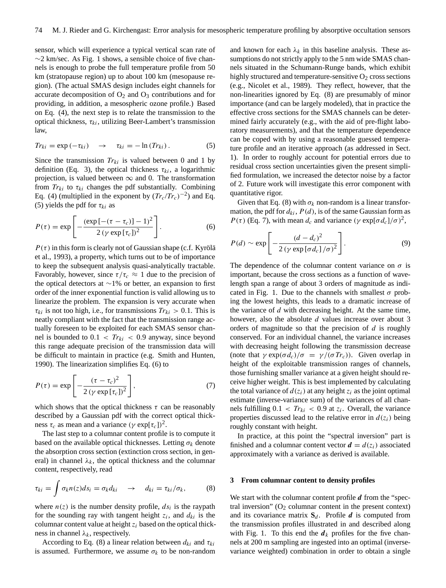sensor, which will experience a typical vertical scan rate of  $\sim$ 2 km/sec. As Fig. 1 shows, a sensible choice of five channels is enough to probe the full temperature profile from 50 km (stratopause region) up to about 100 km (mesopause region). (The actual SMAS design includes eight channels for accurate decomposition of  $O_2$  and  $O_3$  contributions and for providing, in addition, a mesospheric ozone profile.) Based on Eq. (4), the next step is to relate the transmission to the optical thickness,  $\tau_{ki}$ , utilizing Beer-Lambert's transmission law,

$$
Tr_{ki} = \exp(-\tau_{ki}) \quad \to \quad \tau_{ki} = -\ln(Tr_{ki}). \tag{5}
$$

Since the transmission  $Tr_{ki}$  is valued between 0 and 1 by definition (Eq. 3), the optical thickness  $\tau_{ki}$ , a logarithmic projection, is valued between  $\infty$  and 0. The transformation from  $Tr_{ki}$  to  $\tau_{ki}$  changes the pdf substantially. Combining Eq. (4) (multiplied in the exponent by  $(Tr_c/Tr_c)^{-2}$ ) and Eq. (5) yields the pdf for  $\tau_{ki}$  as

$$
P(\tau) = \exp\left[-\frac{(\exp\left[-(\tau-\tau_c)\right]-1)^2}{2\left(\gamma\exp\left[\tau_c\right]\right)^2}\right].\tag{6}
$$

 $P(\tau)$  in this form is clearly not of Gaussian shape (c.f. Kyrölä et al., 1993), a property, which turns out to be of importance to keep the subsequent analysis quasi-analytically tractable. Favorably, however, since  $\tau/\tau_c \approx 1$  due to the precision of the optical detectors at ∼1% or better, an expansion to first order of the inner exponential function is valid allowing us to linearize the problem. The expansion is very accurate when  $\tau_{ki}$  is not too high, i.e., for transmissions  $Tr_{ki} > 0.1$ . This is neatly compliant with the fact that the transmission range actually foreseen to be exploited for each SMAS sensor channel is bounded to  $0.1 < Tr_{ki} < 0.9$  anyway, since beyond this range adequate precision of the transmission data will be difficult to maintain in practice (e.g. Smith and Hunten, 1990). The linearization simplifies Eq. (6) to

$$
P(\tau) = \exp\left[-\frac{(\tau - \tau_c)^2}{2\left(\gamma \exp\left[\tau_c\right]\right)^2}\right],\tag{7}
$$

which shows that the optical thickness  $\tau$  can be reasonably described by a Gaussian pdf with the correct optical thickness  $\tau_c$  as mean and a variance  $(\gamma \exp[\tau_c])^2$ .

The last step to a columnar content profile is to compute it based on the available optical thicknesses. Letting  $\sigma_k$  denote the absorption cross section (extinction cross section, in general) in channel  $\lambda_k$ , the optical thickness and the columnar content, respectively, read

$$
\tau_{ki} = \int \sigma_k n(z) ds_i = \sigma_k d_{ki} \rightarrow d_{ki} = \tau_{ki}/\sigma_k, \qquad (8)
$$

where  $n(z)$  is the number density profile,  $ds_i$  is the raypath for the sounding ray with tangent height  $z_i$ , and  $d_{ki}$  is the columnar content value at height  $z_i$  based on the optical thickness in channel  $\lambda_k$ , respectively.

According to Eq. (8) a linear relation between  $d_{ki}$  and  $\tau_{ki}$ is assumed. Furthermore, we assume  $\sigma_k$  to be non-random and known for each  $\lambda_k$  in this baseline analysis. These assumptions do not strictly apply to the 5 nm wide SMAS channels situated in the Schumann-Runge bands, which exhibit highly structured and temperature-sensitive  $O_2$  cross sections (e.g., Nicolet et al., 1989). They reflect, however, that the non-linearities ignored by Eq. (8) are presumably of minor importance (and can be largely modeled), that in practice the effective cross sections for the SMAS channels can be determined fairly accurately (e.g., with the aid of pre-flight laboratory measurements), and that the temperature dependence can be coped with by using a reasonable guessed temperature profile and an iterative approach (as addressed in Sect. 1). In order to roughly account for potential errors due to residual cross section uncertainties given the present simplified formulation, we increased the detector noise by a factor of 2. Future work will investigate this error component with quantitative rigor.

Given that Eq. (8) with  $\sigma_k$  non-random is a linear transformation, the pdf for  $d_{ki}$ ,  $P(d)$ , is of the same Gaussian form as  $P(\tau)$  (Eq. 7), with mean  $d_c$  and variance  $(\gamma \exp[\sigma d_c]/\sigma)^2$ ,

$$
P(d) \sim \exp\left[-\frac{(d-d_c)^2}{2\left(\gamma \exp\left[\sigma d_c\right]/\sigma\right)^2}\right].\tag{9}
$$

The dependence of the columnar content variance on  $\sigma$  is important, because the cross sections as a function of wavelength span a range of about 3 orders of magnitude as indicated in Fig. 1. Due to the channels with smallest  $\sigma$  probing the lowest heights, this leads to a dramatic increase of the variance of  $d$  with decreasing height. At the same time, however, also the absolute d values increase over about 3 orders of magnitude so that the precision of  $d$  is roughly conserved. For an individual channel, the variance increases with decreasing height following the transmission decrease (note that  $\gamma \exp(\sigma d_c)/\sigma = \gamma/(\sigma T r_c)$ ). Given overlap in height of the exploitable transmission ranges of channels, those furnishing smaller variance at a given height should receive higher weight. This is best implemented by calculating the total variance of  $d(z_i)$  at any height  $z_i$  as the joint optimal estimate (inverse-variance sum) of the variances of all channels fulfilling  $0.1 < Tr_{ki} < 0.9$  at  $z_i$ . Overall, the variance properties discussed lead to the relative error in  $d(z_i)$  being roughly constant with height.

In practice, at this point the "spectral inversion" part is finished and a columnar content vector  $\mathbf{d} = d(z_i)$  associated approximately with a variance as derived is available.

#### **3 From columnar content to density profiles**

We start with the columnar content profile  $d$  from the "spectral inversion"  $(O_2 \text{ columnar content in the present context})$ and its covariance matrix  $S_d$ . Profile  $d$  is computed from the transmission profiles illustrated in and described along with Fig. 1. To this end the  $d_k$  profiles for the five channels at 200 m sampling are ingested into an optimal (inversevariance weighted) combination in order to obtain a single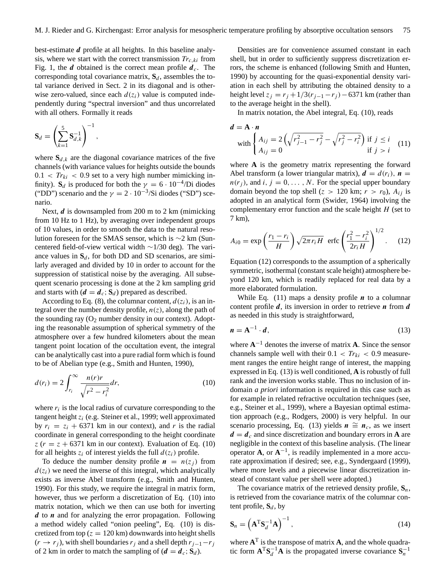best-estimate d profile at all heights. In this baseline analysis, where we start with the correct transmission  $Tr_{c,ki}$  from Fig. 1, the *d* obtained is the correct mean profile  $d_c$ . The corresponding total covariance matrix,  $S_d$ , assembles the total variance derived in Sect. 2 in its diagonal and is otherwise zero-valued, since each  $d(z_i)$  value is computed independently during "spectral inversion" and thus uncorrelated with all others. Formally it reads

$$
\mathbf{S}_d = \left(\sum_{k=1}^5 \mathbf{S}_{d,k}^{-1}\right)^{-1},
$$

where  $S_{d,k}$  are the diagonal covariance matrices of the five channels (with variance values for heights outside the bounds  $0.1 < T r_{ki} < 0.9$  set to a very high number mimicking infinity). **S**<sub>d</sub> is produced for both the  $\gamma = 6 \cdot 10^{-4}$ /Di diodes ("DD") scenario and the  $\gamma = 2 \cdot 10^{-3}$ /Si diodes ("SD") scenario.

Next,  $d$  is downsampled from 200 m to 2 km (mimicking from 10 Hz to 1 Hz), by averaging over independent groups of 10 values, in order to smooth the data to the natural resolution foreseen for the SMAS sensor, which is ∼2 km (Suncentered field-of-view vertical width ∼1/30 deg). The variance values in  $S_d$ , for both DD and SD scenarios, are similarly averaged and divided by 10 in order to account for the suppression of statistical noise by the averaging. All subsequent scenario processing is done at the 2 km sampling grid and starts with  $(d = d_c; S_d)$  prepared as described.

According to Eq. (8), the columnar content,  $d(z_i)$ , is an integral over the number density profile,  $n(z)$ , along the path of the sounding ray  $(O_2$  number density in our context). Adopting the reasonable assumption of spherical symmetry of the atmosphere over a few hundred kilometers about the mean tangent point location of the occultation event, the integral can be analytically cast into a pure radial form which is found to be of Abelian type (e.g., Smith and Hunten, 1990),

$$
d(r_i) = 2 \int_{r_i}^{\infty} \frac{n(r)r}{\sqrt{r^2 - r_i^2}} dr,\tag{10}
$$

where  $r_i$  is the local radius of curvature corresponding to the tangent height  $z_i$  (e.g. Steiner et al., 1999; well approximated by  $r_i = z_i + 6371$  km in our context), and r is the radial coordinate in general corresponding to the height coordinate  $z (r = z + 6371)$  km in our context). Evaluation of Eq. (10) for all heights  $z_i$  of interest yields the full  $d(z_i)$  profile.

To deduce the number density profile  $n = n(z_i)$  from  $d(z_i)$  we need the inverse of this integral, which analytically exists as inverse Abel transform (e.g., Smith and Hunten, 1990). For this study, we require the integral in matrix form, however, thus we perform a discretization of Eq. (10) into matrix notation, which we then can use both for inverting  $d$  to  $n$  and for analyzing the error propagation. Following a method widely called "onion peeling", Eq. (10) is discretized from top ( $z = 120$  km) downwards into height shells  $(r \rightarrow r_i)$ , with shell boundaries r<sub>i</sub> and a shell depth  $r_{i-1}-r_i$ of 2 km in order to match the sampling of  $(d = d_c; S_d)$ .

Densities are for convenience assumed constant in each shell, but in order to sufficiently suppress discretization errors, the scheme is enhanced (following Smith and Hunten, 1990) by accounting for the quasi-exponential density variation in each shell by attributing the obtained density to a height level  $z_i = r_i + 1/3(r_{i-1} - r_i) - 6371$  km (rather than to the average height in the shell).

In matrix notation, the Abel integral, Eq. (10), reads

$$
d = A \cdot n
$$
  
with 
$$
\begin{cases} A_{ij} = 2\left(\sqrt{r_{j-1}^2 - r_j^2} - \sqrt{r_j^2 - r_i^2}\right) & \text{if } j \le i \\ A_{ij} = 0 & \text{if } j > i \end{cases}
$$
 (11)

where **A** is the geometry matrix representing the forward Abel transform (a lower triangular matrix),  $\mathbf{d} = d(r_i)$ ,  $\mathbf{n} =$  $n(r_i)$ , and  $i, j = 0, \ldots, N$ . For the special upper boundary domain beyond the top shell ( $z > 120$  km;  $r > r_0$ ),  $A_{ij}$  is adopted in an analytical form (Swider, 1964) involving the complementary error function and the scale height  $H$  (set to 7 km),

$$
A_{i0} = \exp\left(\frac{r_1 - r_i}{H}\right) \sqrt{2\pi r_i H} \text{ erfc}\left(\frac{r_1^2 - r_i^2}{2r_i H}\right)^{1/2}.
$$
 (12)

Equation (12) corresponds to the assumption of a spherically symmetric, isothermal (constant scale height) atmosphere beyond 120 km, which is readily replaced for real data by a more elaborated formulation.

While Eq. (11) maps a density profile  $n$  to a columnar content profile  $d$ , its inversion in order to retrieve  $n$  from  $d$ as needed in this study is straightforward,

$$
n = A^{-1} \cdot d,\tag{13}
$$

where  $A^{-1}$  denotes the inverse of matrix A. Since the sensor channels sample well with their  $0.1 < Tr_{ki} < 0.9$  measurement ranges the entire height range of interest, the mapping expressed in Eq. (13) is well conditioned, **A** is robustly of full rank and the inversion works stable. Thus no inclusion of indomain *a priori* information is required in this case such as for example in related refractive occultation techniques (see, e.g., Steiner et al., 1999), where a Bayesian optimal estimation approach (e.g., Rodgers, 2000) is very helpful. In our scenario processing, Eq. (13) yields  $n \cong n_c$ , as we insert  $d = d_c$  and since discretization and boundary errors in **A** are negligible in the context of this baseline analysis. (The linear operator **A**, or  $A^{-1}$ , is readily implemented in a more accurate approximation if desired; see, e.g., Syndergaard (1999), where more levels and a piecewise linear discretization instead of constant value per shell were adopted.)

The covariance matrix of the retrieved density profile,  $S_n$ , is retrieved from the covariance matrix of the columnar content profile,  $S_d$ , by

$$
\mathbf{S}_n = \left(\mathbf{A}^{\mathrm{T}} \mathbf{S}_d^{-1} \mathbf{A}\right)^{-1},\tag{14}
$$

where  $A<sup>T</sup>$  is the transpose of matrix  $A$ , and the whole quadratic form  $\mathbf{A}^T \mathbf{S}_d^{-1} \mathbf{A}$  is the propagated inverse covariance  $\mathbf{S}_n^{-1}$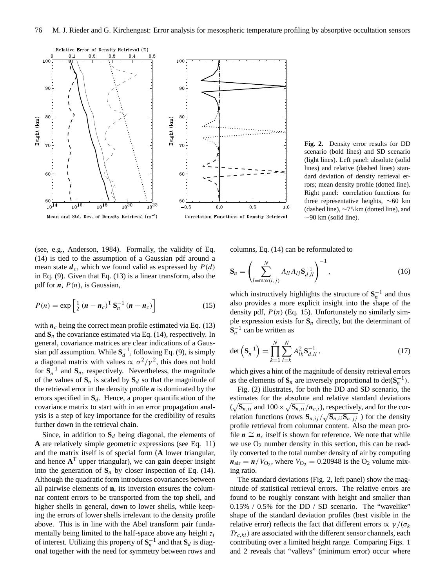

**Fig. 2.** Density error results for DD scenario (bold lines) and SD scenario (light lines). Left panel: absolute (solid lines) and relative (dashed lines) standard deviation of density retrieval errors; mean density profile (dotted line). Right panel: correlation functions for three representative heights, ∼60 km (dashed line), ∼75 km (dotted line), and  $\sim$ 90 km (solid line).

(see, e.g., Anderson, 1984). Formally, the validity of Eq. (14) is tied to the assumption of a Gaussian pdf around a mean state  $d_c$ , which we found valid as expressed by  $P(d)$ in Eq. (9). Given that Eq. (13) is a linear transform, also the pdf for  $n$ ,  $P(n)$ , is Gaussian,

$$
P(n) = \exp\left[\frac{1}{2}\left(\boldsymbol{n} - \boldsymbol{n}_c\right)^{\mathrm{T}}\mathbf{S}_n^{-1}\left(\boldsymbol{n} - \boldsymbol{n}_c\right)\right]
$$
(15)

with  $n_c$  being the correct mean profile estimated via Eq. (13) and  $S_n$  the covariance estimated via Eq. (14), respectively. In general, covariance matrices are clear indications of a Gaussian pdf assumption. While  $S_d^{-1}$ , following Eq. (9), is simply a diagonal matrix with values  $\propto \sigma^2/\gamma^2$ , this does not hold for  $S_n^{-1}$  and  $S_n$ , respectively. Nevertheless, the magnitude of the values of  $S_n$  is scaled by  $S_d$  so that the magnitude of the retrieval error in the density profile  $n$  is dominated by the errors specified in  $S_d$ . Hence, a proper quantification of the covariance matrix to start with in an error propagation analysis is a step of key importance for the credibility of results further down in the retrieval chain.

Since, in addition to  $S_d$  being diagonal, the elements of **A** are relatively simple geometric expressions (see Eq. 11) and the matrix itself is of special form (**A** lower triangular, and hence **A** <sup>T</sup> upper triangular), we can gain deeper insight into the generation of  $S_n$  by closer inspection of Eq. (14). Although the quadratic form introduces covariances between all pairwise elements of **n**, its inversion ensures the columnar content errors to be transported from the top shell, and higher shells in general, down to lower shells, while keeping the errors of lower shells irrelevant to the density profile above. This is in line with the Abel transform pair fundamentally being limited to the half-space above any height  $z_i$ of interest. Utilizing this property of  $S_n^{-1}$  and that  $S_d$  is diagonal together with the need for symmetry between rows and columns, Eq. (14) can be reformulated to

$$
\mathbf{S}_n = \left(\sum_{l=\max(i,j)}^N A_{li} A_{lj} \mathbf{S}_{d,ll}^{-1}\right)^{-1},\tag{16}
$$

which instructively highlights the structure of  $S_n^{-1}$  and thus also provides a more explicit insight into the shape of the density pdf,  $P(n)$  (Eq. 15). Unfortunately no similarly simple expression exists for  $S_n$  directly, but the determinant of  $\mathbf{S}_n^{-1}$  can be written as

$$
\det\left(\mathbf{S}_n^{-1}\right) = \prod_{k=1}^N \sum_{l=k}^N A_{lk}^2 \mathbf{S}_{d,ll}^{-1},\tag{17}
$$

which gives a hint of the magnitude of density retrieval errors as the elements of  $\mathbf{S}_n$  are inversely proportional to det( $\mathbf{S}_n^{-1}$ ).

Fig. (2) illustrates, for both the DD and SD scenario, the estimates for the absolute and relative standard deviations  $(\sqrt{\mathbf{S}_{n,ii}}$  and  $100 \times \sqrt{\mathbf{S}_{n,ii}}/\mathbf{n}_{c,i})$ , respectively, and for the correlation functions (rows  $\mathbf{S}_{n,ij}/\sqrt{\mathbf{S}_{n,ii}\mathbf{S}_{n,jj}}$ ) for the density profile retrieval from columnar content. Also the mean profile  $n \cong n_c$  itself is shown for reference. We note that while we use  $O_2$  number density in this section, this can be readily converted to the total number density of air by computing  $n_{\text{air}} = n/V_{\text{O}_2}$ , where  $V_{\text{O}_2} = 0.20948$  is the  $\text{O}_2$  volume mixing ratio.

The standard deviations (Fig. 2, left panel) show the magnitude of statistical retrieval errors. The relative errors are found to be roughly constant with height and smaller than 0.15% / 0.5% for the DD / SD scenario. The "wavelike" shape of the standard deviation profiles (best visible in the relative error) reflects the fact that different errors  $\alpha \gamma / (\sigma_k)$  $Tr_{c,ki}$ ) are associated with the different sensor channels, each contributing over a limited height range. Comparing Figs. 1 and 2 reveals that "valleys" (minimum error) occur where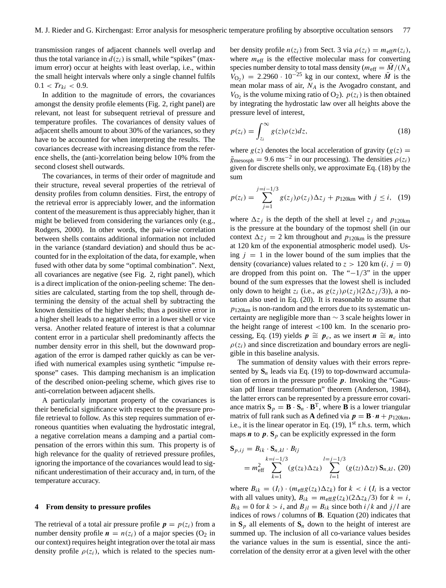transmission ranges of adjacent channels well overlap and thus the total variance in  $d(z_i)$  is small, while "spikes" (maximum error) occur at heights with least overlap, i.e., within the small height intervals where only a single channel fulfils  $0.1 < Tr_{ki} < 0.9$ .

In addition to the magnitude of errors, the covariances amongst the density profile elements (Fig. 2, right panel) are relevant, not least for subsequent retrieval of pressure and temperature profiles. The covariances of density values of adjacent shells amount to about 30% of the variances, so they have to be accounted for when interpreting the results. The covariances decrease with increasing distance from the reference shells, the (anti-)correlation being below 10% from the second closest shell outwards.

The covariances, in terms of their order of magnitude and their structure, reveal several properties of the retrieval of density profiles from column densities. First, the entropy of the retrieval error is appreciably lower, and the information content of the measurement is thus appreciably higher, than it might be believed from considering the variances only (e.g., Rodgers, 2000). In other words, the pair-wise correlation between shells contains additional information not included in the variance (standard deviation) and should thus be accounted for in the exploitation of the data, for example, when fused with other data by some "optimal combination". Next, all covariances are negative (see Fig. 2, right panel), which is a direct implication of the onion-peeling scheme: The densities are calculated, starting from the top shell, through determining the density of the actual shell by subtracting the known densities of the higher shells; thus a positive error in a higher shell leads to a negative error in a lower shell or vice versa. Another related feature of interest is that a columnar content error in a particular shell predominantly affects the number density error in this shell, but the downward propagation of the error is damped rather quickly as can be verified with numerical examples using synthetic "impulse response" cases. This damping mechanism is an implication of the described onion-peeling scheme, which gives rise to anti-correlation between adjacent shells.

A particularly important property of the covariances is their beneficial significance with respect to the pressure profile retrieval to follow. As this step requires summation of erroneous quantities when evaluating the hydrostatic integral, a negative correlation means a damping and a partial compensation of the errors within this sum. This property is of high relevance for the quality of retrieved pressure profiles, ignoring the importance of the covariances would lead to significant underestimation of their accuracy and, in turn, of the temperature accuracy.

## **4 From density to pressure profiles**

The retrieval of a total air pressure profile  $p = p(z_i)$  from a number density profile  $n = n(z_i)$  of a major species (O<sub>2</sub> in our context) requires height integration over the total air mass density profile  $\rho(z_i)$ , which is related to the species number density profile  $n(z_i)$  from Sect. 3 via  $\rho(z_i) = m_{\text{eff}} n(z_i)$ , where  $m_{\text{eff}}$  is the effective molecular mass for converting species number density to total mass density ( $m_{\text{eff}} = M/(N_A)$  $V_{\text{O}_2}$ ) = 2.2960 · 10<sup>-25</sup> kg in our context, where  $\overline{M}$  is the mean molar mass of air,  $N_A$  is the Avogadro constant, and  $V_{\text{O}_2}$  is the volume mixing ratio of  $\text{O}_2$ ).  $p(z_i)$  is then obtained by integrating the hydrostatic law over all heights above the pressure level of interest,

$$
p(z_i) = \int_{z_i}^{\infty} g(z)\rho(z)dz,
$$
 (18)

where  $g(z)$  denotes the local acceleration of gravity  $(g(z) =$  $\bar{g}_{\text{mesosph}} = 9.6 \text{ ms}^{-2}$  in our processing). The densities  $\rho(z_i)$ given for discrete shells only, we approximate Eq. (18) by the sum

$$
p(z_i) = \sum_{j=1}^{j=i-1/3} g(z_j) \rho(z_j) \Delta z_j + p_{120km} \text{ with } j \le i, \quad (19)
$$

where  $\Delta z_i$  is the depth of the shell at level  $z_j$  and  $p_{120km}$ is the pressure at the boundary of the topmost shell (in our context  $\Delta z_i = 2$  km throughout and  $p_{120km}$  is the pressure at 120 km of the exponential atmospheric model used). Using  $j = 1$  in the lower bound of the sum implies that the density (covariance) values related to  $z > 120$  km  $(i, j = 0)$ are dropped from this point on. The " $-1/3$ " in the upper bound of the sum expresses that the lowest shell is included only down to height  $z_i$  (i.e., as  $g(z_j) \rho(z_j) (2\Delta z_j / 3)$ ), a notation also used in Eq. (20). It is reasonable to assume that  $p_{120km}$  is non-random and the errors due to its systematic uncertainty are negligible more than  $\sim$  3 scale heights lower in the height range of interest <100 km. In the scenario processing, Eq. (19) yields  $p \cong p_c$ , as we insert  $n \cong n_c$  into  $\rho(z_i)$  and since discretization and boundary errors are negligible in this baseline analysis.

The summation of density values with their errors represented by  $S_n$  leads via Eq. (19) to top-downward accumulation of errors in the pressure profile  $p$ . Invoking the "Gaussian pdf linear transformation" theorem (Anderson, 1984), the latter errors can be represented by a pressure error covariance matrix  $S_p = B \cdot S_n \cdot B^T$ , where **B** is a lower triangular matrix of full rank such as **A** defined via  $p = B \cdot n + p_{120km}$ , i.e., it is the linear operator in Eq.  $(19)$ ,  $1<sup>st</sup>$  r.h.s. term, which maps  $\boldsymbol{n}$  to  $\boldsymbol{p}$ .  $\mathbf{S}_p$  can be explicitly expressed in the form

$$
\mathbf{S}_{p,ij} = B_{ik} \cdot \mathbf{S}_{n,kl} \cdot B_{lj}
$$
  
=  $m_{\text{eff}}^2 \sum_{k=1}^{k=i-1/3} (g(z_k) \Delta z_k) \sum_{l=1}^{l=j-1/3} (g(z_l) \Delta z_l) \mathbf{S}_{n,kl}, (20)$ 

where  $B_{ik} = (I_i) \cdot (m_{\text{eff}} g(z_k) \Delta z_k)$  for  $k < i$  ( $I_i$  is a vector with all values unity),  $B_{ik} = m_{\text{eff}}g(z_k)(2\Delta z_k/3)$  for  $k = i$ ,  $B_{ik} = 0$  for  $k > i$ , and  $B_{jl} = B_{ik}$  since both  $i/k$  and  $j/l$  are indices of rows / columns of **B**. Equation (20) indicates that in  $S_p$  all elements of  $S_n$  down to the height of interest are summed up. The inclusion of all co-variance values besides the variance values in the sum is essential, since the anticorrelation of the density error at a given level with the other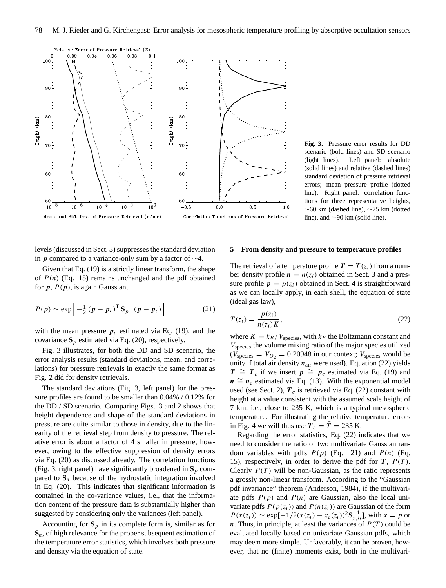

**Fig. 3.** Pressure error results for DD scenario (bold lines) and SD scenario (light lines). Left panel: absolute (solid lines) and relative (dashed lines) standard deviation of pressure retrieval errors; mean pressure profile (dotted line). Right panel: correlation functions for three representative heights, ∼60 km (dashed line), ∼75 km (dotted line), and ∼90 km (solid line).

levels (discussed in Sect. 3) suppresses the standard deviation in **p** compared to a variance-only sum by a factor of  $\sim$ 4.

Given that Eq. (19) is a strictly linear transform, the shape of  $P(n)$  (Eq. 15) remains unchanged and the pdf obtained for  $p$ ,  $P(p)$ , is again Gaussian,

$$
P(p) \sim \exp\left[-\frac{1}{2}\left(\boldsymbol{p} - \boldsymbol{p}_c\right)^{\mathrm{T}} \mathbf{S}_p^{-1} \left(\boldsymbol{p} - \boldsymbol{p}_c\right)\right]
$$
 (21)

with the mean pressure  $p_c$  estimated via Eq. (19), and the covariance  $S_p$  estimated via Eq. (20), respectively.

Fig. 3 illustrates, for both the DD and SD scenario, the error analysis results (standard deviations, mean, and correlations) for pressure retrievals in exactly the same format as Fig. 2 did for density retrievals.

The standard deviations (Fig. 3, left panel) for the pressure profiles are found to be smaller than 0.04% / 0.12% for the DD / SD scenario. Comparing Figs. 3 and 2 shows that height dependence and shape of the standard deviations in pressure are quite similar to those in density, due to the linearity of the retrieval step from density to pressure. The relative error is about a factor of 4 smaller in pressure, however, owing to the effective suppression of density errors via Eq. (20) as discussed already. The correlation functions (Fig. 3, right panel) have significantly broadened in  $S_p$  compared to  $S_n$  because of the hydrostatic integration involved in Eq. (20). This indicates that significant information is contained in the co-variance values, i.e., that the information content of the pressure data is substantially higher than suggested by considering only the variances (left panel).

Accounting for  $S_p$  in its complete form is, similar as for **S**n, of high relevance for the proper subsequent estimation of the temperature error statistics, which involves both pressure and density via the equation of state.

## **5 From density and pressure to temperature profiles**

The retrieval of a temperature profile  $T = T(z_i)$  from a number density profile  $n = n(z_i)$  obtained in Sect. 3 and a pressure profile  $p = p(z_i)$  obtained in Sect. 4 is straightforward as we can locally apply, in each shell, the equation of state (ideal gas law),

$$
T(z_i) = \frac{p(z_i)}{n(z_i)K},\tag{22}
$$

where  $K = k_B/V_{species}$ , with  $k_B$  the Boltzmann constant and Vspecies the volume mixing ratio of the major species utilized  $(V_{species} = V_{O_2} = 0.20948$  in our context;  $V_{species}$  would be unity if total air density  $n_{\text{air}}$  were used). Equation (22) yields  $T \cong T_c$  if we insert  $p \cong p_c$  estimated via Eq. (19) and  $n \cong n_c$  estimated via Eq. (13). With the exponential model used (see Sect. 2),  $T_c$  is retrieved via Eq. (22) constant with height at a value consistent with the assumed scale height of 7 km, i.e., close to 235 K, which is a typical mesospheric temperature. For illustrating the relative temperature errors in Fig. 4 we will thus use  $T_c = \overline{T} = 235$  K.

Regarding the error statistics, Eq. (22) indicates that we need to consider the ratio of two multivariate Gaussian random variables with pdfs  $P(p)$  (Eq. 21) and  $P(n)$  (Eq. 15), respectively, in order to derive the pdf for  $T$ ,  $P(T)$ . Clearly  $P(T)$  will be non-Gaussian, as the ratio represents a grossly non-linear transform. According to the "Gaussian pdf invariance" theorem (Anderson, 1984), if the multivariate pdfs  $P(p)$  and  $P(n)$  are Gaussian, also the local univariate pdfs  $P(p(z_i))$  and  $P(n(z_i))$  are Gaussian of the form  $P(x(z_i)) \sim \exp[-1/2(x(z_i) - x_c(z_i))^2 S_{x,ii}^{-1}]$ , with  $x = p$  or n. Thus, in principle, at least the variances of  $P(T)$  could be evaluated locally based on univariate Gaussian pdfs, which may deem more simple. Unfavorably, it can be proven, however, that no (finite) moments exist, both in the multivari-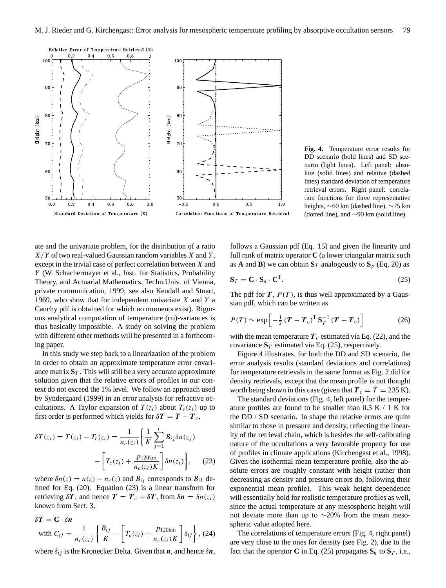

**Fig. 4.** Temperature error results for DD scenario (bold lines) and SD scenario (light lines). Left panel: absolute (solid lines) and relative (dashed lines) standard deviation of temperature retrieval errors. Right panel: correlation functions for three representative heights, ∼60 km (dashed line), ∼75 km (dotted line), and ∼90 km (solid line).

ate and the univariate problem, for the distribution of a ratio  $X/Y$  of two real-valued Gaussian random variables X and Y, except in the trivial case of perfect correlation between X and Y (W. Schachermayer et al., Inst. for Statistics, Probability Theory, and Actuarial Mathematics, Techn.Univ. of Vienna, private communication, 1999; see also Kendall and Stuart, 1969, who show that for independent univariate  $X$  and  $Y$  a Cauchy pdf is obtained for which no moments exist). Rigorous analytical computation of temperature (co)-variances is thus basically impossible. A study on solving the problem with different other methods will be presented in a forthcoming paper.

In this study we step back to a linearization of the problem in order to obtain an approximate temperature error covariance matrix  $S_T$ . This will still be a very accurate approximate solution given that the relative errors of profiles in our context do not exceed the 1% level. We follow an approach used by Syndergaard (1999) in an error analysis for refractive occultations. A Taylor expansion of  $T(z_i)$  about  $T_c(z_i)$  up to first order is performed which yields for  $\delta T = T - T_c$ ,

$$
\delta T(z_i) = T(z_i) - T_c(z_i) = \frac{1}{n_c(z_i)} \left\{ \frac{1}{K} \sum_{j=1}^i B_{ij} \delta n(z_j) - \left[ T_c(z_i) + \frac{p_{120km}}{n_c(z_i)K} \right] \delta n(z_i) \right\}, \quad (23)
$$

where  $\delta n(z) = n(z) - n_c(z)$  and  $B_{ij}$  corresponds to  $B_{ik}$  defined for Eq. (20). Equation (23) is a linear transform for retrieving  $\delta T$ , and hence  $T = T_c + \delta T$ , from  $\delta n = \delta n(z_i)$ known from Sect. 3,

$$
\delta T = \mathbf{C} \cdot \delta \mathbf{n}
$$
  
with  $C_{ij} = \frac{1}{n_c(z_i)} \left\{ \frac{B_{ij}}{K} - \left[ T_c(z_i) + \frac{p_{120km}}{n_c(z_i)K} \right] \delta_{ij} \right\}$ , (24)

where  $\delta_{ij}$  is the Kronecker Delta. Given that n, and hence  $\delta n$ ,

follows a Gaussian pdf (Eq. 15) and given the linearity and full rank of matrix operator **C** (a lower triangular matrix such as **A** and **B**) we can obtain  $\mathbf{S}_T$  analogously to  $\mathbf{S}_p$  (Eq. 20) as

$$
\mathbf{S}_T = \mathbf{C} \cdot \mathbf{S}_n \cdot \mathbf{C}^{\mathrm{T}}.\tag{25}
$$

The pdf for  $T$ ,  $P(T)$ , is thus well approximated by a Gaussian pdf, which can be written as

$$
P(T) \sim \exp\left[-\frac{1}{2}\left(\boldsymbol{T} - \boldsymbol{T}_c\right)^{\mathrm{T}} \mathbf{S}_T^{-1} \left(\boldsymbol{T} - \boldsymbol{T}_c\right)\right]
$$
 (26)

with the mean temperature  $T_c$  estimated via Eq. (22), and the covariance  $S_T$  estimated via Eq. (25), respectively.

Figure 4 illustrates, for both the DD and SD scenario, the error analysis results (standard deviations and correlations) for temperature retrievals in the same format as Fig. 2 did for density retrievals, except that the mean profile is not thought worth being shown in this case (given that  $T_c = T = 235$  K).

The standard deviations (Fig. 4, left panel) for the temperature profiles are found to be smaller than  $0.3 K / 1 K$  for the DD / SD scenario. In shape the relative errors are quite similar to those in pressure and density, reflecting the linearity of the retrieval chain, which is besides the self-calibrating nature of the occultations a very favorable property for use of profiles in climate applications (Kirchengast et al., 1998). Given the isothermal mean temperature profile, also the absolute errors are roughly constant with height (rather than decreasing as density and pressure errors do, following their exponential mean profile). This weak height dependence will essentially hold for realistic temperature profiles as well, since the actual temperature at any mesospheric height will not deviate more than up to ∼20% from the mean mesospheric value adopted here.

The correlations of temperature errors (Fig. 4, right panel) are very close to the ones for density (see Fig. 2), due to the fact that the operator **C** in Eq. (25) propagates  $S_n$  to  $S_T$ , i.e.,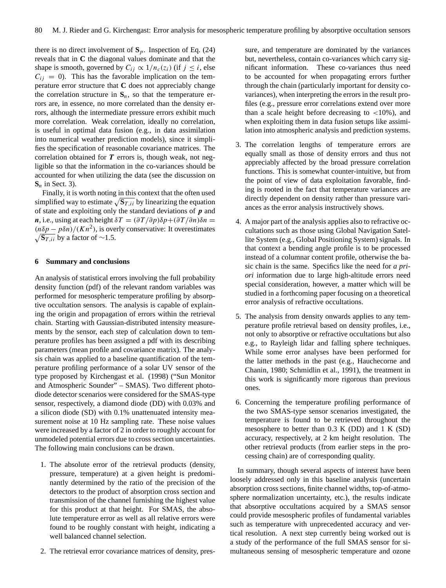there is no direct involvement of  $S_p$ . Inspection of Eq. (24) reveals that in **C** the diagonal values dominate and that the shape is smooth, governed by  $C_{ij} \propto 1/n_c(z_i)$  (if  $j \leq i$ , else  $C_{ii} = 0$ ). This has the favorable implication on the temperature error structure that **C** does not appreciably change the correlation structure in  $S_n$ , so that the temperature errors are, in essence, no more correlated than the density errors, although the intermediate pressure errors exhibit much more correlation. Weak correlation, ideally no correlation, is useful in optimal data fusion (e.g., in data assimilation into numerical weather prediction models), since it simplifies the specification of reasonable covariance matrices. The correlation obtained for  $T$  errors is, though weak, not negligible so that the information in the co-variances should be accounted for when utilizing the data (see the discussion on  $S_n$  in Sect. 3).

Finally, it is worth noting in this context that the often used simplified way to estimate  $\sqrt{S_{T,ii}}$  by linearizing the equation of state and exploiting only the standard deviations of  $\boldsymbol{p}$  and n, i.e., using at each height  $\delta T = (\partial T/\partial p)\delta p + (\partial T/\partial n)\delta n =$  $(n\delta p - p\delta n)/(Kn^2)$ , is overly conservative: It overestimates  $\sqrt{\mathbf{s}_{T,ii}}$  by a factor of ∼1.5.

# **6 Summary and conclusions**

An analysis of statistical errors involving the full probability density function (pdf) of the relevant random variables was performed for mesospheric temperature profiling by absorptive occultation sensors. The analysis is capable of explaining the origin and propagation of errors within the retrieval chain. Starting with Gaussian-distributed intensity measurements by the sensor, each step of calculation down to temperature profiles has been assigned a pdf with its describing parameters (mean profile and covariance matrix). The analysis chain was applied to a baseline quantification of the temperature profiling performance of a solar UV sensor of the type proposed by Kirchengast et al. (1998) ("Sun Monitor and Atmospheric Sounder" – SMAS). Two different photodiode detector scenarios were considered for the SMAS-type sensor, respectively, a diamond diode (DD) with 0.03% and a silicon diode (SD) with 0.1% unattenuated intensity measurement noise at 10 Hz sampling rate. These noise values were increased by a factor of 2 in order to roughly account for unmodeled potential errors due to cross section uncertainties. The following main conclusions can be drawn.

- 1. The absolute error of the retrieval products (density, pressure, temperature) at a given height is predominantly determined by the ratio of the precision of the detectors to the product of absorption cross section and transmission of the channel furnishing the highest value for this product at that height. For SMAS, the absolute temperature error as well as all relative errors were found to be roughly constant with height, indicating a well balanced channel selection.
- 2. The retrieval error covariance matrices of density, pres-

sure, and temperature are dominated by the variances but, nevertheless, contain co-variances which carry significant information. These co-variances thus need to be accounted for when propagating errors further through the chain (particularly important for density covariances), when interpreting the errors in the result profiles (e.g., pressure error correlations extend over more than a scale height before decreasing to  $\langle 10\% \rangle$ , and when exploiting them in data fusion setups like assimilation into atmospheric analysis and prediction systems.

- 3. The correlation lengths of temperature errors are equally small as those of density errors and thus not appreciably affected by the broad pressure correlation functions. This is somewhat counter-intuitive, but from the point of view of data exploitation favorable, finding is rooted in the fact that temperature variances are directly dependent on density rather than pressure variances as the error analysis instructively shows.
- 4. A major part of the analysis applies also to refractive occultations such as those using Global Navigation Satellite System (e.g., Global Positioning System) signals. In that context a bending angle profile is to be processed instead of a columnar content profile, otherwise the basic chain is the same. Specifics like the need for *a priori* information due to large high-altitude errors need special consideration, however, a matter which will be studied in a forthcoming paper focusing on a theoretical error analysis of refractive occultations.
- 5. The analysis from density onwards applies to any temperature profile retrieval based on density profiles, i.e., not only to absorptive or refractive occultations but also e.g., to Rayleigh lidar and falling sphere techniques. While some error analyses have been performed for the latter methods in the past (e.g., Hauchecorne and Chanin, 1980; Schmidlin et al., 1991), the treatment in this work is significantly more rigorous than previous ones.
- 6. Concerning the temperature profiling performance of the two SMAS-type sensor scenarios investigated, the temperature is found to be retrieved throughout the mesosphere to better than 0.3 K (DD) and 1 K (SD) accuracy, respectively, at 2 km height resolution. The other retrieval products (from earlier steps in the processing chain) are of corresponding quality.

In summary, though several aspects of interest have been loosely addressed only in this baseline analysis (uncertain absorption cross sections, finite channel widths, top-of-atmosphere normalization uncertainty, etc.), the results indicate that absorptive occultations acquired by a SMAS sensor could provide mesospheric profiles of fundamental variables such as temperature with unprecedented accuracy and vertical resolution. A next step currently being worked out is a study of the performance of the full SMAS sensor for simultaneous sensing of mesospheric temperature and ozone